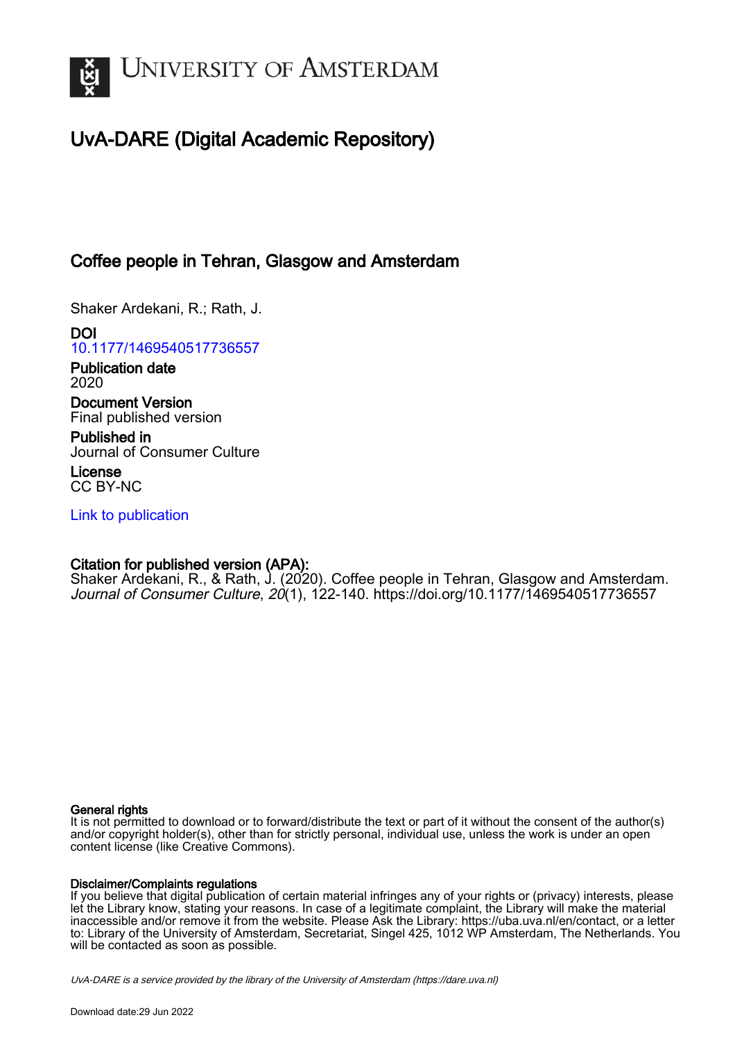

# UvA-DARE (Digital Academic Repository)

## Coffee people in Tehran, Glasgow and Amsterdam

Shaker Ardekani, R.; Rath, J.

DOI [10.1177/1469540517736557](https://doi.org/10.1177/1469540517736557)

Publication date 2020

Document Version Final published version

Published in Journal of Consumer Culture

License CC BY-NC

[Link to publication](https://dare.uva.nl/personal/pure/en/publications/coffee-people-in-tehran-glasgow-and-amsterdam(e99b6276-d728-4e5b-9594-8a5ec420a8dc).html)

## Citation for published version (APA):

Shaker Ardekani, R., & Rath, J. (2020). Coffee people in Tehran, Glasgow and Amsterdam. Journal of Consumer Culture, 20(1), 122-140.<https://doi.org/10.1177/1469540517736557>

### General rights

It is not permitted to download or to forward/distribute the text or part of it without the consent of the author(s) and/or copyright holder(s), other than for strictly personal, individual use, unless the work is under an open content license (like Creative Commons).

### Disclaimer/Complaints regulations

If you believe that digital publication of certain material infringes any of your rights or (privacy) interests, please let the Library know, stating your reasons. In case of a legitimate complaint, the Library will make the material inaccessible and/or remove it from the website. Please Ask the Library: https://uba.uva.nl/en/contact, or a letter to: Library of the University of Amsterdam, Secretariat, Singel 425, 1012 WP Amsterdam, The Netherlands. You will be contacted as soon as possible.

UvA-DARE is a service provided by the library of the University of Amsterdam (http*s*://dare.uva.nl)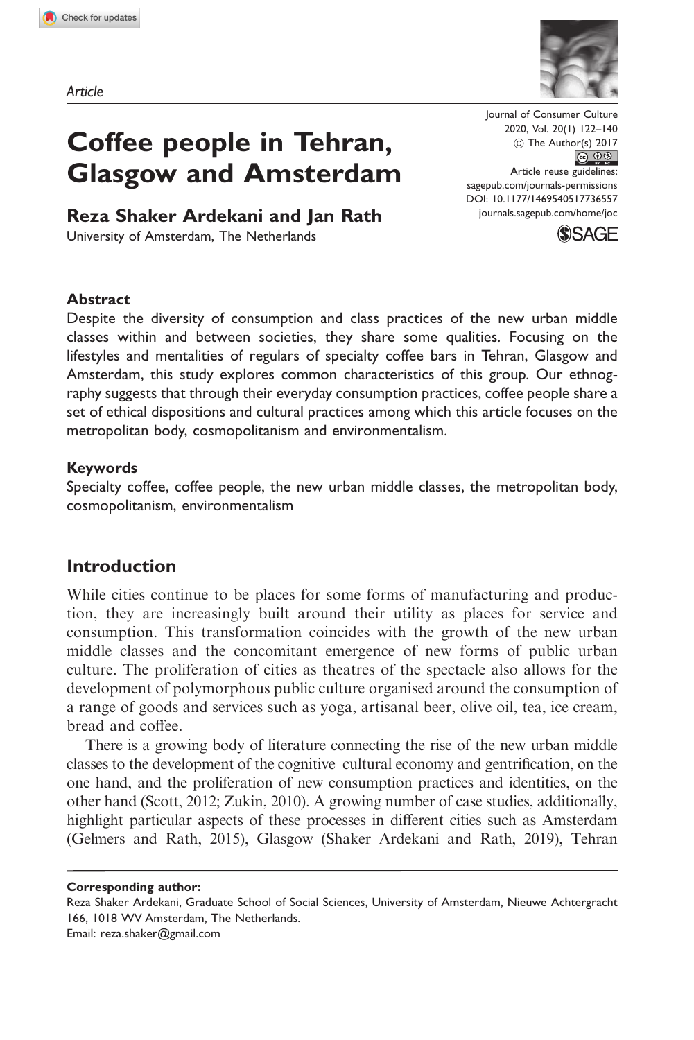

# Coffee people in Tehran, Glasgow and Amsterdam

Reza Shaker Ardekani and Jan Rath

University of Amsterdam, The Netherlands

Journal of Consumer Culture 2020, Vol. 20(1) 122–140  $\circled{c}$  The Author(s) 2017 Article reuse guidelines: [sagepub.com/journals-permissions](https://uk.sagepub.com/en-gb/journals-permissions) DOI: [10.1177/1469540517736557](https://doi.org/10.1177/1469540517736557) <journals.sagepub.com/home/joc>



#### **Abstract**

Despite the diversity of consumption and class practices of the new urban middle classes within and between societies, they share some qualities. Focusing on the lifestyles and mentalities of regulars of specialty coffee bars in Tehran, Glasgow and Amsterdam, this study explores common characteristics of this group. Our ethnography suggests that through their everyday consumption practices, coffee people share a set of ethical dispositions and cultural practices among which this article focuses on the metropolitan body, cosmopolitanism and environmentalism.

#### Keywords

Specialty coffee, coffee people, the new urban middle classes, the metropolitan body, cosmopolitanism, environmentalism

## Introduction

While cities continue to be places for some forms of manufacturing and production, they are increasingly built around their utility as places for service and consumption. This transformation coincides with the growth of the new urban middle classes and the concomitant emergence of new forms of public urban culture. The proliferation of cities as theatres of the spectacle also allows for the development of polymorphous public culture organised around the consumption of a range of goods and services such as yoga, artisanal beer, olive oil, tea, ice cream, bread and coffee.

There is a growing body of literature connecting the rise of the new urban middle classes to the development of the cognitive–cultural economy and gentrification, on the one hand, and the proliferation of new consumption practices and identities, on the other hand (Scott, 2012; Zukin, 2010). A growing number of case studies, additionally, highlight particular aspects of these processes in different cities such as Amsterdam (Gelmers and Rath, 2015), Glasgow (Shaker Ardekani and Rath, 2019), Tehran

Corresponding author:

Reza Shaker Ardekani, Graduate School of Social Sciences, University of Amsterdam, Nieuwe Achtergracht 166, 1018 WV Amsterdam, The Netherlands. Email: reza.shaker@gmail.com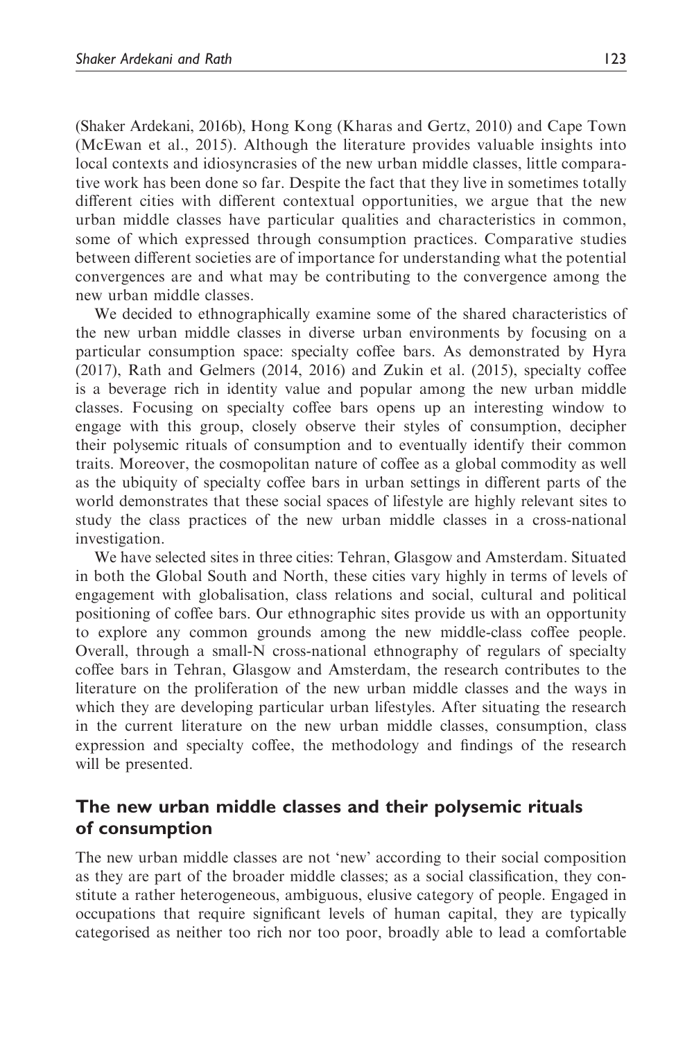(Shaker Ardekani, 2016b), Hong Kong (Kharas and Gertz, 2010) and Cape Town (McEwan et al., 2015). Although the literature provides valuable insights into local contexts and idiosyncrasies of the new urban middle classes, little comparative work has been done so far. Despite the fact that they live in sometimes totally different cities with different contextual opportunities, we argue that the new urban middle classes have particular qualities and characteristics in common, some of which expressed through consumption practices. Comparative studies between different societies are of importance for understanding what the potential convergences are and what may be contributing to the convergence among the new urban middle classes.

We decided to ethnographically examine some of the shared characteristics of the new urban middle classes in diverse urban environments by focusing on a particular consumption space: specialty coffee bars. As demonstrated by Hyra (2017), Rath and Gelmers (2014, 2016) and Zukin et al. (2015), specialty coffee is a beverage rich in identity value and popular among the new urban middle classes. Focusing on specialty coffee bars opens up an interesting window to engage with this group, closely observe their styles of consumption, decipher their polysemic rituals of consumption and to eventually identify their common traits. Moreover, the cosmopolitan nature of coffee as a global commodity as well as the ubiquity of specialty coffee bars in urban settings in different parts of the world demonstrates that these social spaces of lifestyle are highly relevant sites to study the class practices of the new urban middle classes in a cross-national investigation.

We have selected sites in three cities: Tehran, Glasgow and Amsterdam. Situated in both the Global South and North, these cities vary highly in terms of levels of engagement with globalisation, class relations and social, cultural and political positioning of coffee bars. Our ethnographic sites provide us with an opportunity to explore any common grounds among the new middle-class coffee people. Overall, through a small-N cross-national ethnography of regulars of specialty coffee bars in Tehran, Glasgow and Amsterdam, the research contributes to the literature on the proliferation of the new urban middle classes and the ways in which they are developing particular urban lifestyles. After situating the research in the current literature on the new urban middle classes, consumption, class expression and specialty coffee, the methodology and findings of the research will be presented.

## The new urban middle classes and their polysemic rituals of consumption

The new urban middle classes are not 'new' according to their social composition as they are part of the broader middle classes; as a social classification, they constitute a rather heterogeneous, ambiguous, elusive category of people. Engaged in occupations that require significant levels of human capital, they are typically categorised as neither too rich nor too poor, broadly able to lead a comfortable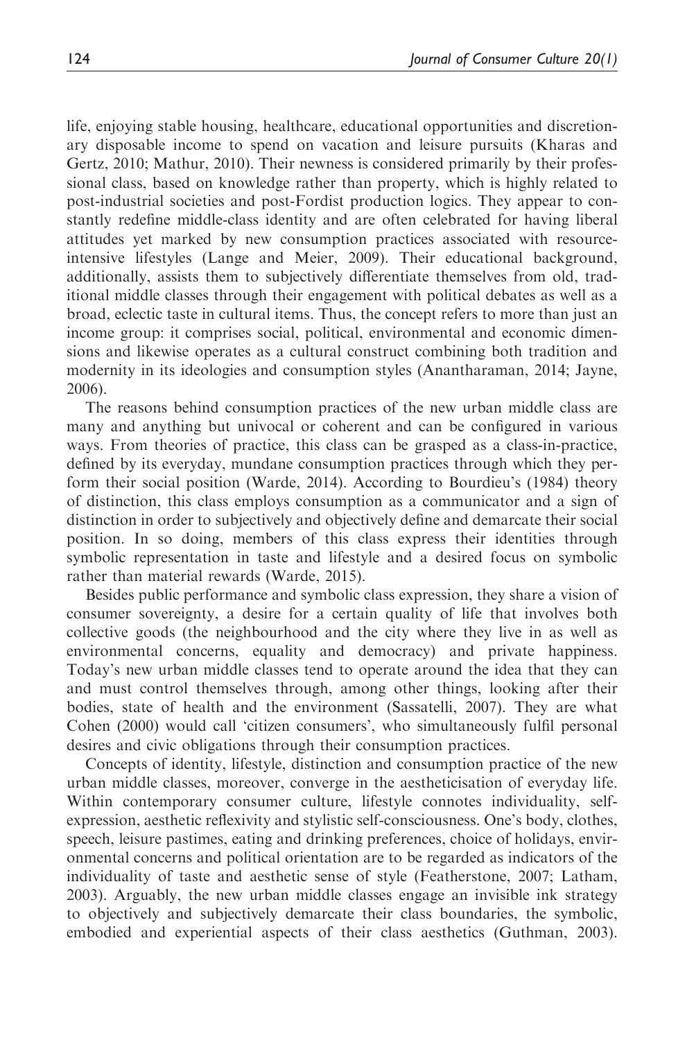life, enjoying stable housing, healthcare, educational opportunities and discretionary disposable income to spend on vacation and leisure pursuits (Kharas and Gertz, 2010; Mathur, 2010). Their newness is considered primarily by their professional class, based on knowledge rather than property, which is highly related to post-industrial societies and post-Fordist production logics. They appear to constantly redefine middle-class identity and are often celebrated for having liberal attitudes yet marked by new consumption practices associated with resourceintensive lifestyles (Lange and Meier, 2009). Their educational background, additionally, assists them to subjectively differentiate themselves from old, traditional middle classes through their engagement with political debates as well as a broad, eclectic taste in cultural items. Thus, the concept refers to more than just an income group: it comprises social, political, environmental and economic dimensions and likewise operates as a cultural construct combining both tradition and modernity in its ideologies and consumption styles (Anantharaman, 2014; Jayne, 2006).

The reasons behind consumption practices of the new urban middle class are many and anything but univocal or coherent and can be configured in various ways. From theories of practice, this class can be grasped as a class-in-practice, defined by its everyday, mundane consumption practices through which they perform their social position (Warde, 2014). According to Bourdieu's (1984) theory of distinction, this class employs consumption as a communicator and a sign of distinction in order to subjectively and objectively define and demarcate their social position. In so doing, members of this class express their identities through symbolic representation in taste and lifestyle and a desired focus on symbolic rather than material rewards (Warde, 2015).

Besides public performance and symbolic class expression, they share a vision of consumer sovereignty, a desire for a certain quality of life that involves both collective goods (the neighbourhood and the city where they live in as well as environmental concerns, equality and democracy) and private happiness. Today's new urban middle classes tend to operate around the idea that they can and must control themselves through, among other things, looking after their bodies, state of health and the environment (Sassatelli, 2007). They are what Cohen (2000) would call 'citizen consumers', who simultaneously fulfil personal desires and civic obligations through their consumption practices.

Concepts of identity, lifestyle, distinction and consumption practice of the new urban middle classes, moreover, converge in the aestheticisation of everyday life. Within contemporary consumer culture, lifestyle connotes individuality, selfexpression, aesthetic reflexivity and stylistic self-consciousness. One's body, clothes, speech, leisure pastimes, eating and drinking preferences, choice of holidays, environmental concerns and political orientation are to be regarded as indicators of the individuality of taste and aesthetic sense of style (Featherstone, 2007; Latham, 2003). Arguably, the new urban middle classes engage an invisible ink strategy to objectively and subjectively demarcate their class boundaries, the symbolic, embodied and experiential aspects of their class aesthetics (Guthman, 2003).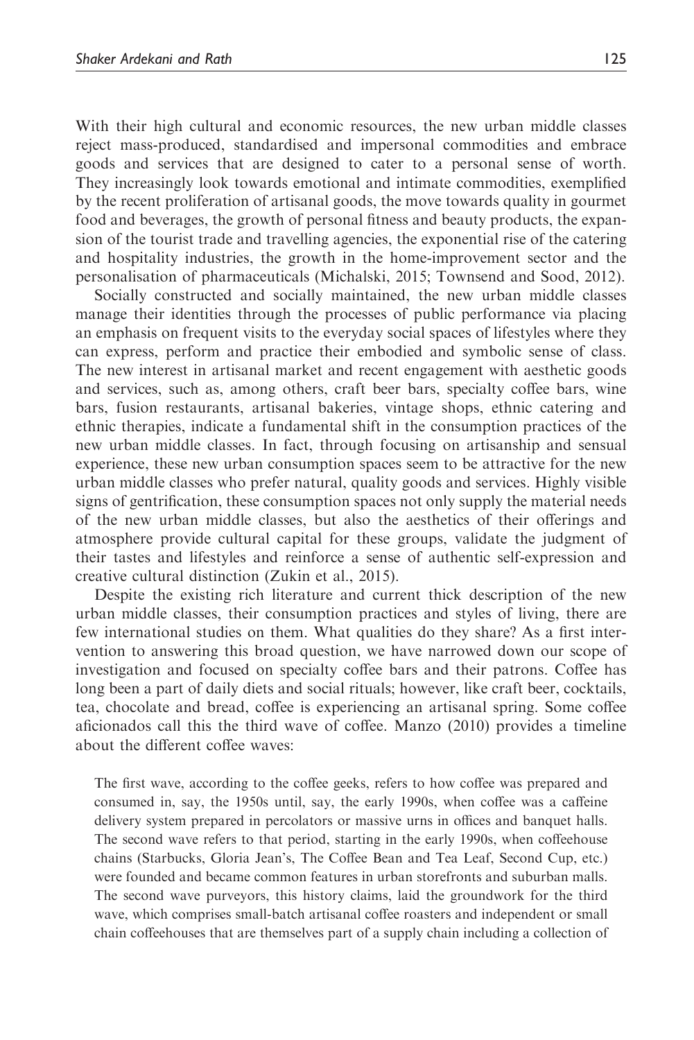With their high cultural and economic resources, the new urban middle classes reject mass-produced, standardised and impersonal commodities and embrace goods and services that are designed to cater to a personal sense of worth. They increasingly look towards emotional and intimate commodities, exemplified by the recent proliferation of artisanal goods, the move towards quality in gourmet food and beverages, the growth of personal fitness and beauty products, the expansion of the tourist trade and travelling agencies, the exponential rise of the catering and hospitality industries, the growth in the home-improvement sector and the personalisation of pharmaceuticals (Michalski, 2015; Townsend and Sood, 2012).

Socially constructed and socially maintained, the new urban middle classes manage their identities through the processes of public performance via placing an emphasis on frequent visits to the everyday social spaces of lifestyles where they can express, perform and practice their embodied and symbolic sense of class. The new interest in artisanal market and recent engagement with aesthetic goods and services, such as, among others, craft beer bars, specialty coffee bars, wine bars, fusion restaurants, artisanal bakeries, vintage shops, ethnic catering and ethnic therapies, indicate a fundamental shift in the consumption practices of the new urban middle classes. In fact, through focusing on artisanship and sensual experience, these new urban consumption spaces seem to be attractive for the new urban middle classes who prefer natural, quality goods and services. Highly visible signs of gentrification, these consumption spaces not only supply the material needs of the new urban middle classes, but also the aesthetics of their offerings and atmosphere provide cultural capital for these groups, validate the judgment of their tastes and lifestyles and reinforce a sense of authentic self-expression and creative cultural distinction (Zukin et al., 2015).

Despite the existing rich literature and current thick description of the new urban middle classes, their consumption practices and styles of living, there are few international studies on them. What qualities do they share? As a first intervention to answering this broad question, we have narrowed down our scope of investigation and focused on specialty coffee bars and their patrons. Coffee has long been a part of daily diets and social rituals; however, like craft beer, cocktails, tea, chocolate and bread, coffee is experiencing an artisanal spring. Some coffee aficionados call this the third wave of coffee. Manzo (2010) provides a timeline about the different coffee waves:

The first wave, according to the coffee geeks, refers to how coffee was prepared and consumed in, say, the 1950s until, say, the early 1990s, when coffee was a caffeine delivery system prepared in percolators or massive urns in offices and banquet halls. The second wave refers to that period, starting in the early 1990s, when coffeehouse chains (Starbucks, Gloria Jean's, The Coffee Bean and Tea Leaf, Second Cup, etc.) were founded and became common features in urban storefronts and suburban malls. The second wave purveyors, this history claims, laid the groundwork for the third wave, which comprises small-batch artisanal coffee roasters and independent or small chain coffeehouses that are themselves part of a supply chain including a collection of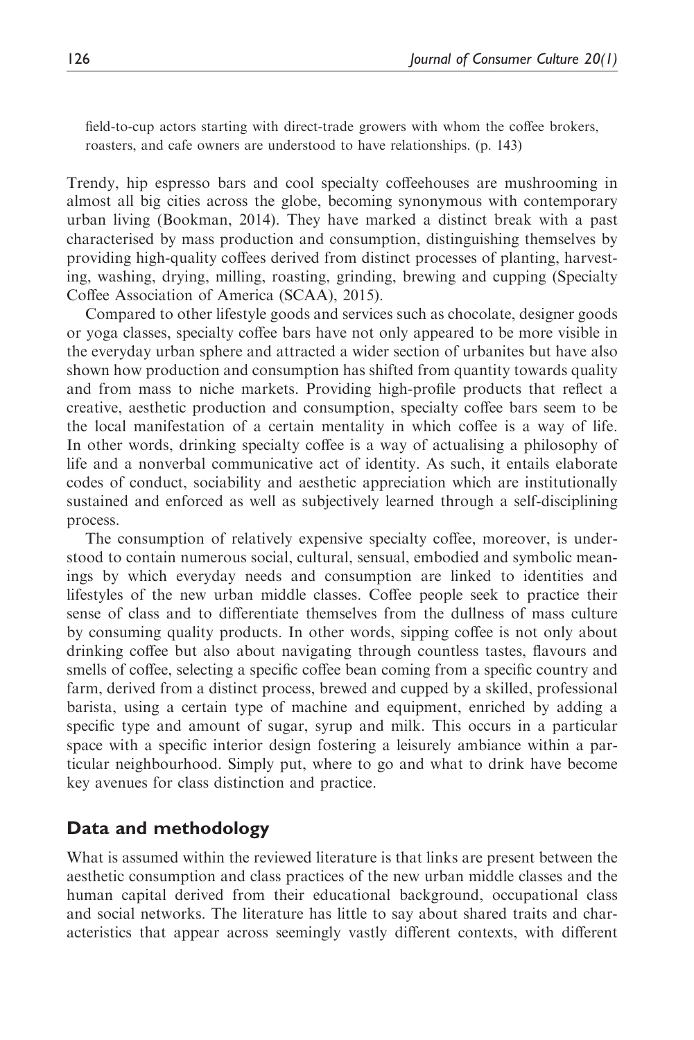field-to-cup actors starting with direct-trade growers with whom the coffee brokers, roasters, and cafe owners are understood to have relationships. (p. 143)

Trendy, hip espresso bars and cool specialty coffeehouses are mushrooming in almost all big cities across the globe, becoming synonymous with contemporary urban living (Bookman, 2014). They have marked a distinct break with a past characterised by mass production and consumption, distinguishing themselves by providing high-quality coffees derived from distinct processes of planting, harvesting, washing, drying, milling, roasting, grinding, brewing and cupping (Specialty Coffee Association of America (SCAA), 2015).

Compared to other lifestyle goods and services such as chocolate, designer goods or yoga classes, specialty coffee bars have not only appeared to be more visible in the everyday urban sphere and attracted a wider section of urbanites but have also shown how production and consumption has shifted from quantity towards quality and from mass to niche markets. Providing high-profile products that reflect a creative, aesthetic production and consumption, specialty coffee bars seem to be the local manifestation of a certain mentality in which coffee is a way of life. In other words, drinking specialty coffee is a way of actualising a philosophy of life and a nonverbal communicative act of identity. As such, it entails elaborate codes of conduct, sociability and aesthetic appreciation which are institutionally sustained and enforced as well as subjectively learned through a self-disciplining process.

The consumption of relatively expensive specialty coffee, moreover, is understood to contain numerous social, cultural, sensual, embodied and symbolic meanings by which everyday needs and consumption are linked to identities and lifestyles of the new urban middle classes. Coffee people seek to practice their sense of class and to differentiate themselves from the dullness of mass culture by consuming quality products. In other words, sipping coffee is not only about drinking coffee but also about navigating through countless tastes, flavours and smells of coffee, selecting a specific coffee bean coming from a specific country and farm, derived from a distinct process, brewed and cupped by a skilled, professional barista, using a certain type of machine and equipment, enriched by adding a specific type and amount of sugar, syrup and milk. This occurs in a particular space with a specific interior design fostering a leisurely ambiance within a particular neighbourhood. Simply put, where to go and what to drink have become key avenues for class distinction and practice.

## Data and methodology

What is assumed within the reviewed literature is that links are present between the aesthetic consumption and class practices of the new urban middle classes and the human capital derived from their educational background, occupational class and social networks. The literature has little to say about shared traits and characteristics that appear across seemingly vastly different contexts, with different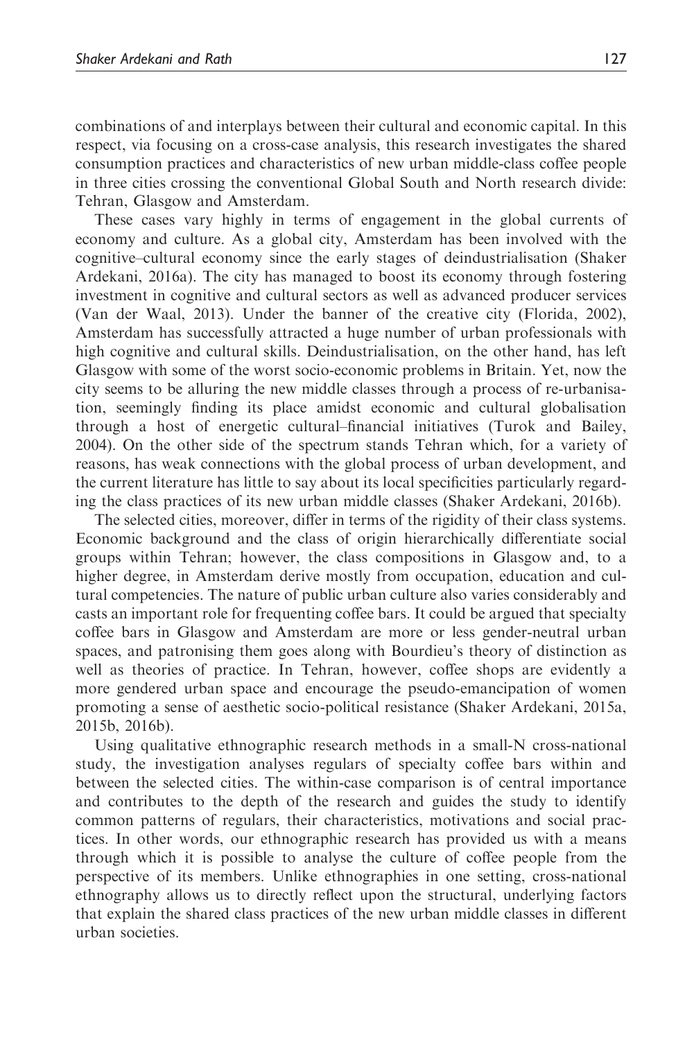combinations of and interplays between their cultural and economic capital. In this respect, via focusing on a cross-case analysis, this research investigates the shared consumption practices and characteristics of new urban middle-class coffee people in three cities crossing the conventional Global South and North research divide: Tehran, Glasgow and Amsterdam.

These cases vary highly in terms of engagement in the global currents of economy and culture. As a global city, Amsterdam has been involved with the cognitive–cultural economy since the early stages of deindustrialisation (Shaker Ardekani, 2016a). The city has managed to boost its economy through fostering investment in cognitive and cultural sectors as well as advanced producer services (Van der Waal, 2013). Under the banner of the creative city (Florida, 2002), Amsterdam has successfully attracted a huge number of urban professionals with high cognitive and cultural skills. Deindustrialisation, on the other hand, has left Glasgow with some of the worst socio-economic problems in Britain. Yet, now the city seems to be alluring the new middle classes through a process of re-urbanisation, seemingly finding its place amidst economic and cultural globalisation through a host of energetic cultural–financial initiatives (Turok and Bailey, 2004). On the other side of the spectrum stands Tehran which, for a variety of reasons, has weak connections with the global process of urban development, and the current literature has little to say about its local specificities particularly regarding the class practices of its new urban middle classes (Shaker Ardekani, 2016b).

The selected cities, moreover, differ in terms of the rigidity of their class systems. Economic background and the class of origin hierarchically differentiate social groups within Tehran; however, the class compositions in Glasgow and, to a higher degree, in Amsterdam derive mostly from occupation, education and cultural competencies. The nature of public urban culture also varies considerably and casts an important role for frequenting coffee bars. It could be argued that specialty coffee bars in Glasgow and Amsterdam are more or less gender-neutral urban spaces, and patronising them goes along with Bourdieu's theory of distinction as well as theories of practice. In Tehran, however, coffee shops are evidently a more gendered urban space and encourage the pseudo-emancipation of women promoting a sense of aesthetic socio-political resistance (Shaker Ardekani, 2015a, 2015b, 2016b).

Using qualitative ethnographic research methods in a small-N cross-national study, the investigation analyses regulars of specialty coffee bars within and between the selected cities. The within-case comparison is of central importance and contributes to the depth of the research and guides the study to identify common patterns of regulars, their characteristics, motivations and social practices. In other words, our ethnographic research has provided us with a means through which it is possible to analyse the culture of coffee people from the perspective of its members. Unlike ethnographies in one setting, cross-national ethnography allows us to directly reflect upon the structural, underlying factors that explain the shared class practices of the new urban middle classes in different urban societies.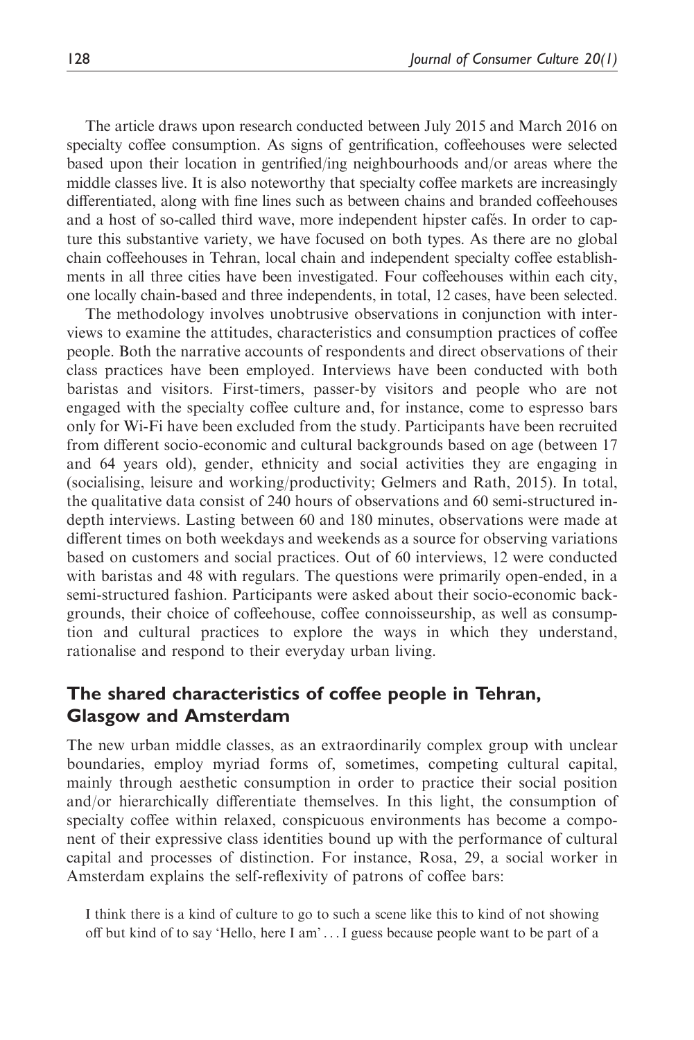The article draws upon research conducted between July 2015 and March 2016 on specialty coffee consumption. As signs of gentrification, coffeehouses were selected based upon their location in gentrified/ing neighbourhoods and/or areas where the middle classes live. It is also noteworthy that specialty coffee markets are increasingly differentiated, along with fine lines such as between chains and branded coffeehouses and a host of so-called third wave, more independent hipster cafés. In order to capture this substantive variety, we have focused on both types. As there are no global chain coffeehouses in Tehran, local chain and independent specialty coffee establishments in all three cities have been investigated. Four coffeehouses within each city, one locally chain-based and three independents, in total, 12 cases, have been selected.

The methodology involves unobtrusive observations in conjunction with interviews to examine the attitudes, characteristics and consumption practices of coffee people. Both the narrative accounts of respondents and direct observations of their class practices have been employed. Interviews have been conducted with both baristas and visitors. First-timers, passer-by visitors and people who are not engaged with the specialty coffee culture and, for instance, come to espresso bars only for Wi-Fi have been excluded from the study. Participants have been recruited from different socio-economic and cultural backgrounds based on age (between 17 and 64 years old), gender, ethnicity and social activities they are engaging in (socialising, leisure and working/productivity; Gelmers and Rath, 2015). In total, the qualitative data consist of 240 hours of observations and 60 semi-structured indepth interviews. Lasting between 60 and 180 minutes, observations were made at different times on both weekdays and weekends as a source for observing variations based on customers and social practices. Out of 60 interviews, 12 were conducted with baristas and 48 with regulars. The questions were primarily open-ended, in a semi-structured fashion. Participants were asked about their socio-economic backgrounds, their choice of coffeehouse, coffee connoisseurship, as well as consumption and cultural practices to explore the ways in which they understand, rationalise and respond to their everyday urban living.

## The shared characteristics of coffee people in Tehran, Glasgow and Amsterdam

The new urban middle classes, as an extraordinarily complex group with unclear boundaries, employ myriad forms of, sometimes, competing cultural capital, mainly through aesthetic consumption in order to practice their social position and/or hierarchically differentiate themselves. In this light, the consumption of specialty coffee within relaxed, conspicuous environments has become a component of their expressive class identities bound up with the performance of cultural capital and processes of distinction. For instance, Rosa, 29, a social worker in Amsterdam explains the self-reflexivity of patrons of coffee bars:

I think there is a kind of culture to go to such a scene like this to kind of not showing off but kind of to say 'Hello, here I am' ...I guess because people want to be part of a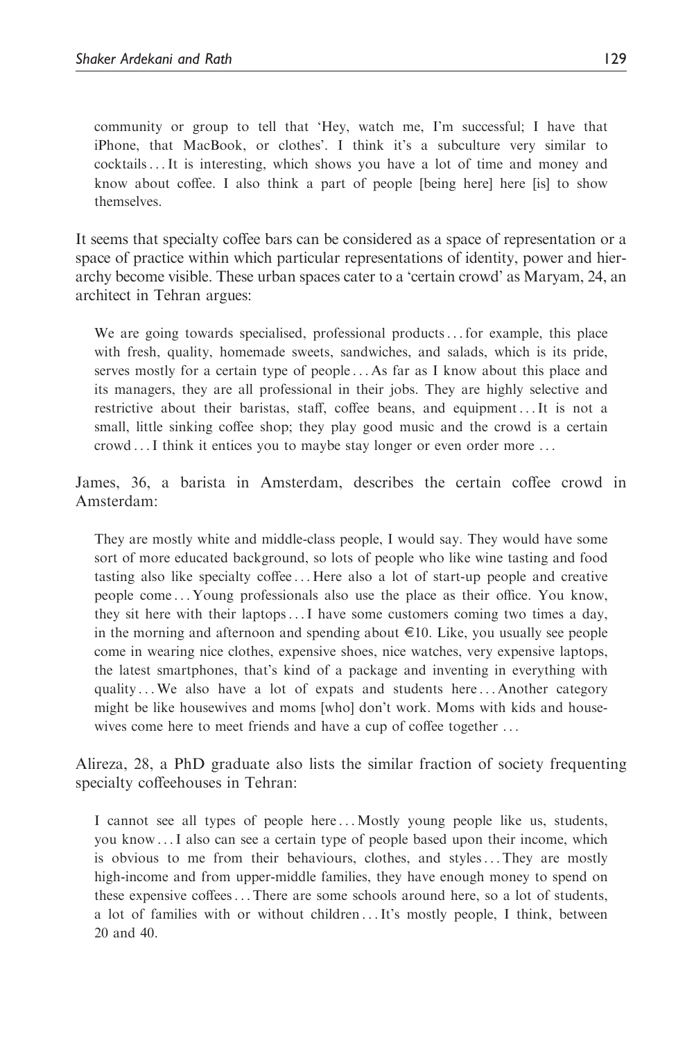community or group to tell that 'Hey, watch me, I'm successful; I have that iPhone, that MacBook, or clothes'. I think it's a subculture very similar to cocktails...It is interesting, which shows you have a lot of time and money and know about coffee. I also think a part of people [being here] here [is] to show themselves.

It seems that specialty coffee bars can be considered as a space of representation or a space of practice within which particular representations of identity, power and hierarchy become visible. These urban spaces cater to a 'certain crowd' as Maryam, 24, an architect in Tehran argues:

We are going towards specialised, professional products...for example, this place with fresh, quality, homemade sweets, sandwiches, and salads, which is its pride, serves mostly for a certain type of people ... As far as I know about this place and its managers, they are all professional in their jobs. They are highly selective and restrictive about their baristas, staff, coffee beans, and equipment ...It is not a small, little sinking coffee shop; they play good music and the crowd is a certain crowd ...I think it entices you to maybe stay longer or even order more ...

James, 36, a barista in Amsterdam, describes the certain coffee crowd in Amsterdam:

They are mostly white and middle-class people, I would say. They would have some sort of more educated background, so lots of people who like wine tasting and food tasting also like specialty coffee ... Here also a lot of start-up people and creative people come ... Young professionals also use the place as their office. You know, they sit here with their laptops...I have some customers coming two times a day, in the morning and afternoon and spending about  $\in$  10. Like, you usually see people come in wearing nice clothes, expensive shoes, nice watches, very expensive laptops, the latest smartphones, that's kind of a package and inventing in everything with quality ... We also have a lot of expats and students here ... Another category might be like housewives and moms [who] don't work. Moms with kids and housewives come here to meet friends and have a cup of coffee together ...

Alireza, 28, a PhD graduate also lists the similar fraction of society frequenting specialty coffeehouses in Tehran:

I cannot see all types of people here ... Mostly young people like us, students, you know ...I also can see a certain type of people based upon their income, which is obvious to me from their behaviours, clothes, and styles... They are mostly high-income and from upper-middle families, they have enough money to spend on these expensive coffees...There are some schools around here, so a lot of students, a lot of families with or without children ...It's mostly people, I think, between 20 and 40.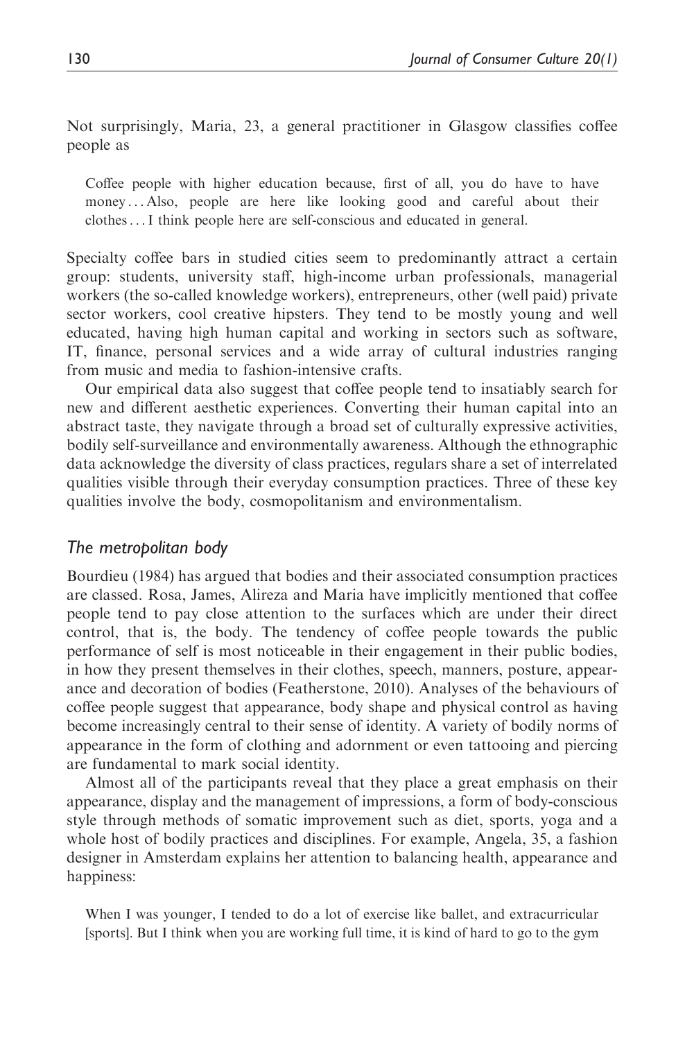Not surprisingly, Maria, 23, a general practitioner in Glasgow classifies coffee people as

Coffee people with higher education because, first of all, you do have to have money ... Also, people are here like looking good and careful about their clothes...I think people here are self-conscious and educated in general.

Specialty coffee bars in studied cities seem to predominantly attract a certain group: students, university staff, high-income urban professionals, managerial workers (the so-called knowledge workers), entrepreneurs, other (well paid) private sector workers, cool creative hipsters. They tend to be mostly young and well educated, having high human capital and working in sectors such as software, IT, finance, personal services and a wide array of cultural industries ranging from music and media to fashion-intensive crafts.

Our empirical data also suggest that coffee people tend to insatiably search for new and different aesthetic experiences. Converting their human capital into an abstract taste, they navigate through a broad set of culturally expressive activities, bodily self-surveillance and environmentally awareness. Although the ethnographic data acknowledge the diversity of class practices, regulars share a set of interrelated qualities visible through their everyday consumption practices. Three of these key qualities involve the body, cosmopolitanism and environmentalism.

#### The metropolitan body

Bourdieu (1984) has argued that bodies and their associated consumption practices are classed. Rosa, James, Alireza and Maria have implicitly mentioned that coffee people tend to pay close attention to the surfaces which are under their direct control, that is, the body. The tendency of coffee people towards the public performance of self is most noticeable in their engagement in their public bodies, in how they present themselves in their clothes, speech, manners, posture, appearance and decoration of bodies (Featherstone, 2010). Analyses of the behaviours of coffee people suggest that appearance, body shape and physical control as having become increasingly central to their sense of identity. A variety of bodily norms of appearance in the form of clothing and adornment or even tattooing and piercing are fundamental to mark social identity.

Almost all of the participants reveal that they place a great emphasis on their appearance, display and the management of impressions, a form of body-conscious style through methods of somatic improvement such as diet, sports, yoga and a whole host of bodily practices and disciplines. For example, Angela, 35, a fashion designer in Amsterdam explains her attention to balancing health, appearance and happiness:

When I was younger, I tended to do a lot of exercise like ballet, and extracurricular [sports]. But I think when you are working full time, it is kind of hard to go to the gym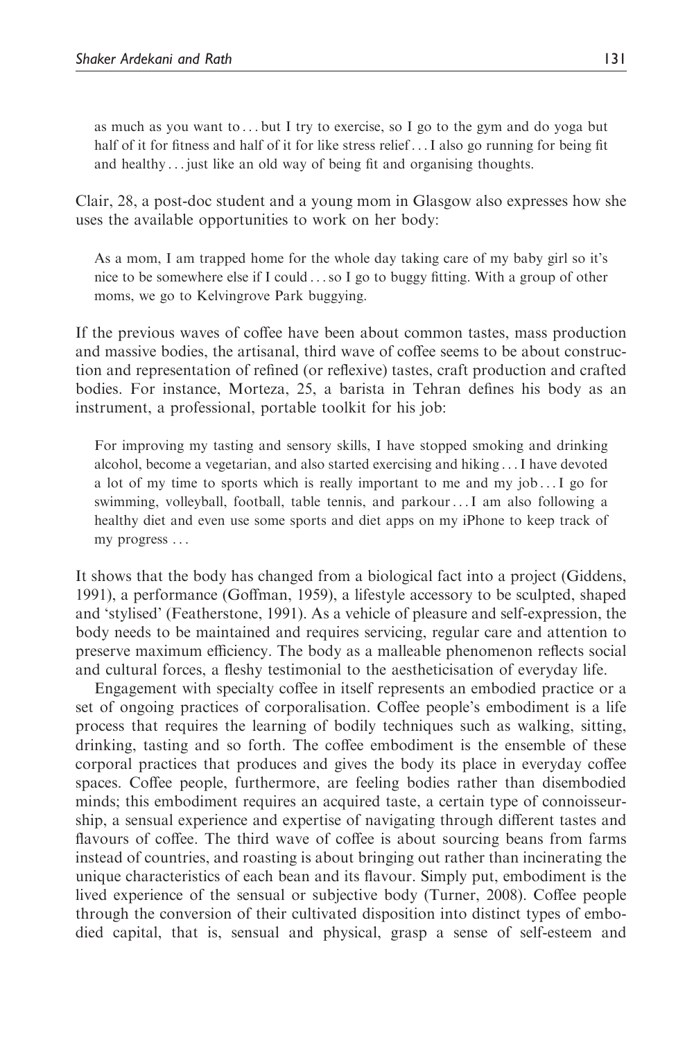as much as you want to ... but I try to exercise, so I go to the gym and do yoga but half of it for fitness and half of it for like stress relief ...I also go running for being fit and healthy ... just like an old way of being fit and organising thoughts.

Clair, 28, a post-doc student and a young mom in Glasgow also expresses how she uses the available opportunities to work on her body:

As a mom, I am trapped home for the whole day taking care of my baby girl so it's nice to be somewhere else if I could ...so I go to buggy fitting. With a group of other moms, we go to Kelvingrove Park buggying.

If the previous waves of coffee have been about common tastes, mass production and massive bodies, the artisanal, third wave of coffee seems to be about construction and representation of refined (or reflexive) tastes, craft production and crafted bodies. For instance, Morteza, 25, a barista in Tehran defines his body as an instrument, a professional, portable toolkit for his job:

For improving my tasting and sensory skills, I have stopped smoking and drinking alcohol, become a vegetarian, and also started exercising and hiking ...I have devoted a lot of my time to sports which is really important to me and my job ...I go for swimming, volleyball, football, table tennis, and parkour...I am also following a healthy diet and even use some sports and diet apps on my iPhone to keep track of my progress ...

It shows that the body has changed from a biological fact into a project (Giddens, 1991), a performance (Goffman, 1959), a lifestyle accessory to be sculpted, shaped and 'stylised' (Featherstone, 1991). As a vehicle of pleasure and self-expression, the body needs to be maintained and requires servicing, regular care and attention to preserve maximum efficiency. The body as a malleable phenomenon reflects social and cultural forces, a fleshy testimonial to the aestheticisation of everyday life.

Engagement with specialty coffee in itself represents an embodied practice or a set of ongoing practices of corporalisation. Coffee people's embodiment is a life process that requires the learning of bodily techniques such as walking, sitting, drinking, tasting and so forth. The coffee embodiment is the ensemble of these corporal practices that produces and gives the body its place in everyday coffee spaces. Coffee people, furthermore, are feeling bodies rather than disembodied minds; this embodiment requires an acquired taste, a certain type of connoisseurship, a sensual experience and expertise of navigating through different tastes and flavours of coffee. The third wave of coffee is about sourcing beans from farms instead of countries, and roasting is about bringing out rather than incinerating the unique characteristics of each bean and its flavour. Simply put, embodiment is the lived experience of the sensual or subjective body (Turner, 2008). Coffee people through the conversion of their cultivated disposition into distinct types of embodied capital, that is, sensual and physical, grasp a sense of self-esteem and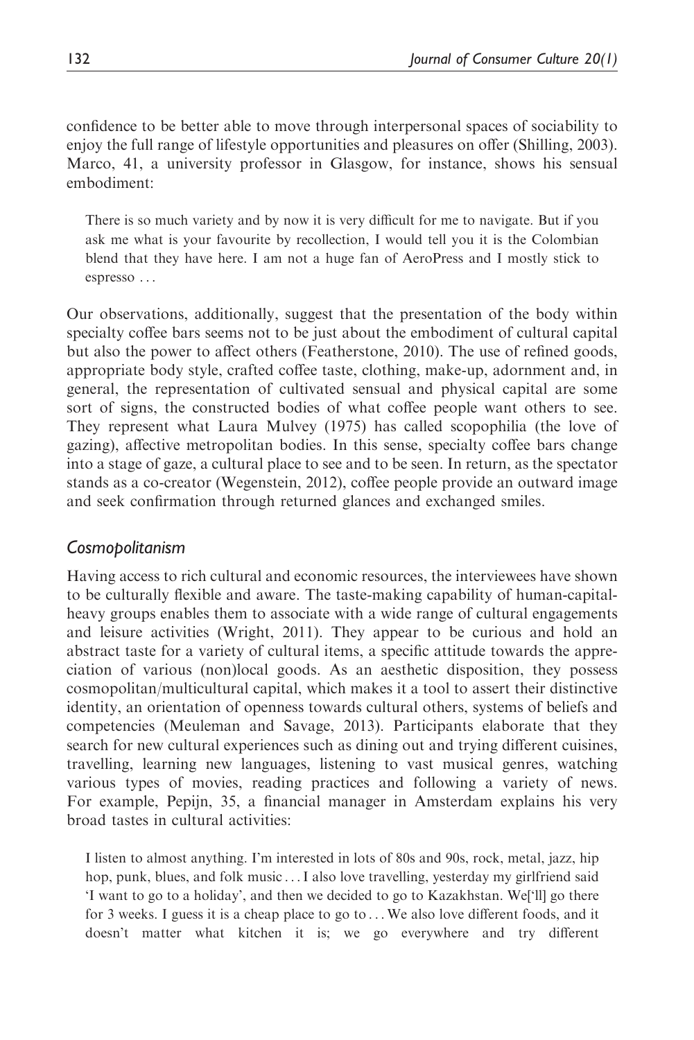confidence to be better able to move through interpersonal spaces of sociability to enjoy the full range of lifestyle opportunities and pleasures on offer (Shilling, 2003). Marco, 41, a university professor in Glasgow, for instance, shows his sensual embodiment:

There is so much variety and by now it is very difficult for me to navigate. But if you ask me what is your favourite by recollection, I would tell you it is the Colombian blend that they have here. I am not a huge fan of AeroPress and I mostly stick to espresso ...

Our observations, additionally, suggest that the presentation of the body within specialty coffee bars seems not to be just about the embodiment of cultural capital but also the power to affect others (Featherstone, 2010). The use of refined goods, appropriate body style, crafted coffee taste, clothing, make-up, adornment and, in general, the representation of cultivated sensual and physical capital are some sort of signs, the constructed bodies of what coffee people want others to see. They represent what Laura Mulvey (1975) has called scopophilia (the love of gazing), affective metropolitan bodies. In this sense, specialty coffee bars change into a stage of gaze, a cultural place to see and to be seen. In return, as the spectator stands as a co-creator (Wegenstein, 2012), coffee people provide an outward image and seek confirmation through returned glances and exchanged smiles.

## Cosmopolitanism

Having access to rich cultural and economic resources, the interviewees have shown to be culturally flexible and aware. The taste-making capability of human-capitalheavy groups enables them to associate with a wide range of cultural engagements and leisure activities (Wright, 2011). They appear to be curious and hold an abstract taste for a variety of cultural items, a specific attitude towards the appreciation of various (non)local goods. As an aesthetic disposition, they possess cosmopolitan/multicultural capital, which makes it a tool to assert their distinctive identity, an orientation of openness towards cultural others, systems of beliefs and competencies (Meuleman and Savage, 2013). Participants elaborate that they search for new cultural experiences such as dining out and trying different cuisines, travelling, learning new languages, listening to vast musical genres, watching various types of movies, reading practices and following a variety of news. For example, Pepijn, 35, a financial manager in Amsterdam explains his very broad tastes in cultural activities:

I listen to almost anything. I'm interested in lots of 80s and 90s, rock, metal, jazz, hip hop, punk, blues, and folk music ...I also love travelling, yesterday my girlfriend said 'I want to go to a holiday', and then we decided to go to Kazakhstan. We['ll] go there for 3 weeks. I guess it is a cheap place to go to ... We also love different foods, and it doesn't matter what kitchen it is; we go everywhere and try different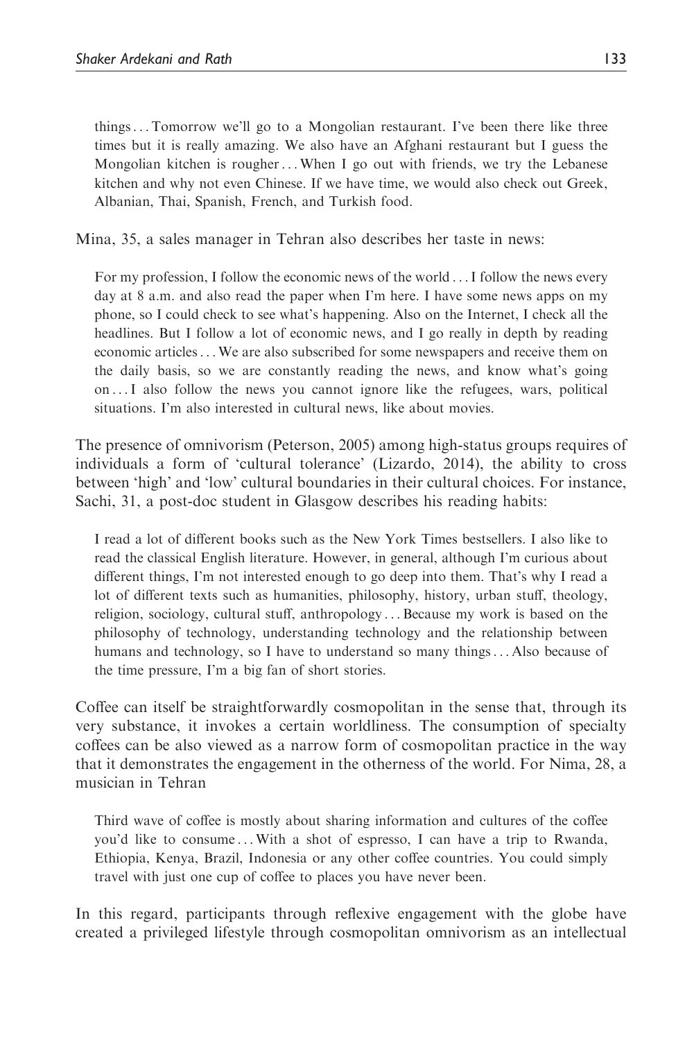things...Tomorrow we'll go to a Mongolian restaurant. I've been there like three times but it is really amazing. We also have an Afghani restaurant but I guess the Mongolian kitchen is rougher... When I go out with friends, we try the Lebanese kitchen and why not even Chinese. If we have time, we would also check out Greek, Albanian, Thai, Spanish, French, and Turkish food.

Mina, 35, a sales manager in Tehran also describes her taste in news:

For my profession, I follow the economic news of the world ...I follow the news every day at 8 a.m. and also read the paper when I'm here. I have some news apps on my phone, so I could check to see what's happening. Also on the Internet, I check all the headlines. But I follow a lot of economic news, and I go really in depth by reading economic articles... We are also subscribed for some newspapers and receive them on the daily basis, so we are constantly reading the news, and know what's going on ...I also follow the news you cannot ignore like the refugees, wars, political situations. I'm also interested in cultural news, like about movies.

The presence of omnivorism (Peterson, 2005) among high-status groups requires of individuals a form of 'cultural tolerance' (Lizardo, 2014), the ability to cross between 'high' and 'low' cultural boundaries in their cultural choices. For instance, Sachi, 31, a post-doc student in Glasgow describes his reading habits:

I read a lot of different books such as the New York Times bestsellers. I also like to read the classical English literature. However, in general, although I'm curious about different things, I'm not interested enough to go deep into them. That's why I read a lot of different texts such as humanities, philosophy, history, urban stuff, theology, religion, sociology, cultural stuff, anthropology ...Because my work is based on the philosophy of technology, understanding technology and the relationship between humans and technology, so I have to understand so many things... Also because of the time pressure, I'm a big fan of short stories.

Coffee can itself be straightforwardly cosmopolitan in the sense that, through its very substance, it invokes a certain worldliness. The consumption of specialty coffees can be also viewed as a narrow form of cosmopolitan practice in the way that it demonstrates the engagement in the otherness of the world. For Nima, 28, a musician in Tehran

Third wave of coffee is mostly about sharing information and cultures of the coffee you'd like to consume ... With a shot of espresso, I can have a trip to Rwanda, Ethiopia, Kenya, Brazil, Indonesia or any other coffee countries. You could simply travel with just one cup of coffee to places you have never been.

In this regard, participants through reflexive engagement with the globe have created a privileged lifestyle through cosmopolitan omnivorism as an intellectual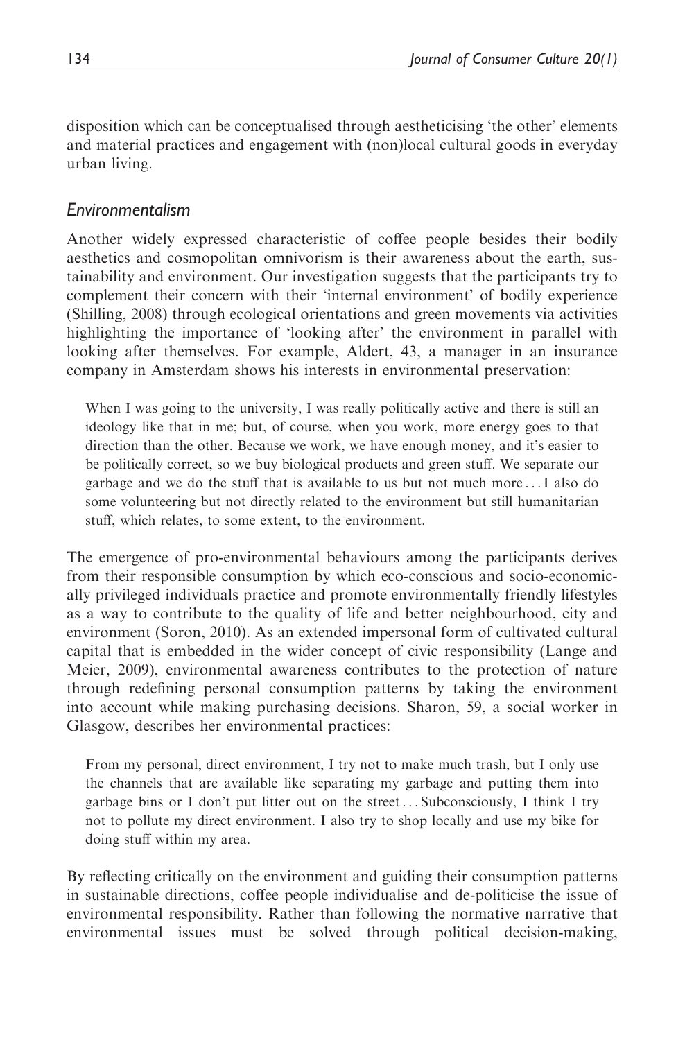disposition which can be conceptualised through aestheticising 'the other' elements and material practices and engagement with (non)local cultural goods in everyday urban living.

## Environmentalism

Another widely expressed characteristic of coffee people besides their bodily aesthetics and cosmopolitan omnivorism is their awareness about the earth, sustainability and environment. Our investigation suggests that the participants try to complement their concern with their 'internal environment' of bodily experience (Shilling, 2008) through ecological orientations and green movements via activities highlighting the importance of 'looking after' the environment in parallel with looking after themselves. For example, Aldert, 43, a manager in an insurance company in Amsterdam shows his interests in environmental preservation:

When I was going to the university, I was really politically active and there is still an ideology like that in me; but, of course, when you work, more energy goes to that direction than the other. Because we work, we have enough money, and it's easier to be politically correct, so we buy biological products and green stuff. We separate our garbage and we do the stuff that is available to us but not much more ...I also do some volunteering but not directly related to the environment but still humanitarian stuff, which relates, to some extent, to the environment.

The emergence of pro-environmental behaviours among the participants derives from their responsible consumption by which eco-conscious and socio-economically privileged individuals practice and promote environmentally friendly lifestyles as a way to contribute to the quality of life and better neighbourhood, city and environment (Soron, 2010). As an extended impersonal form of cultivated cultural capital that is embedded in the wider concept of civic responsibility (Lange and Meier, 2009), environmental awareness contributes to the protection of nature through redefining personal consumption patterns by taking the environment into account while making purchasing decisions. Sharon, 59, a social worker in Glasgow, describes her environmental practices:

From my personal, direct environment, I try not to make much trash, but I only use the channels that are available like separating my garbage and putting them into garbage bins or I don't put litter out on the street ... Subconsciously, I think I try not to pollute my direct environment. I also try to shop locally and use my bike for doing stuff within my area.

By reflecting critically on the environment and guiding their consumption patterns in sustainable directions, coffee people individualise and de-politicise the issue of environmental responsibility. Rather than following the normative narrative that environmental issues must be solved through political decision-making,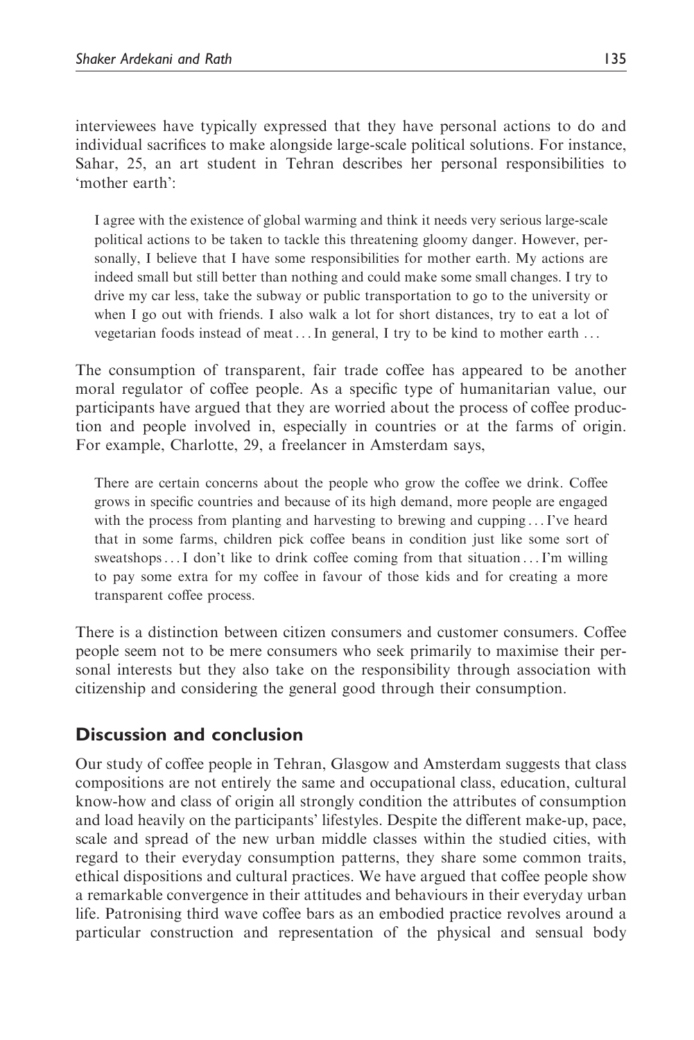interviewees have typically expressed that they have personal actions to do and individual sacrifices to make alongside large-scale political solutions. For instance, Sahar, 25, an art student in Tehran describes her personal responsibilities to 'mother earth':

I agree with the existence of global warming and think it needs very serious large-scale political actions to be taken to tackle this threatening gloomy danger. However, personally, I believe that I have some responsibilities for mother earth. My actions are indeed small but still better than nothing and could make some small changes. I try to drive my car less, take the subway or public transportation to go to the university or when I go out with friends. I also walk a lot for short distances, try to eat a lot of vegetarian foods instead of meat ...In general, I try to be kind to mother earth ...

The consumption of transparent, fair trade coffee has appeared to be another moral regulator of coffee people. As a specific type of humanitarian value, our participants have argued that they are worried about the process of coffee production and people involved in, especially in countries or at the farms of origin. For example, Charlotte, 29, a freelancer in Amsterdam says,

There are certain concerns about the people who grow the coffee we drink. Coffee grows in specific countries and because of its high demand, more people are engaged with the process from planting and harvesting to brewing and cupping ...I've heard that in some farms, children pick coffee beans in condition just like some sort of sweatshops...I don't like to drink coffee coming from that situation ...I'm willing to pay some extra for my coffee in favour of those kids and for creating a more transparent coffee process.

There is a distinction between citizen consumers and customer consumers. Coffee people seem not to be mere consumers who seek primarily to maximise their personal interests but they also take on the responsibility through association with citizenship and considering the general good through their consumption.

## Discussion and conclusion

Our study of coffee people in Tehran, Glasgow and Amsterdam suggests that class compositions are not entirely the same and occupational class, education, cultural know-how and class of origin all strongly condition the attributes of consumption and load heavily on the participants' lifestyles. Despite the different make-up, pace, scale and spread of the new urban middle classes within the studied cities, with regard to their everyday consumption patterns, they share some common traits, ethical dispositions and cultural practices. We have argued that coffee people show a remarkable convergence in their attitudes and behaviours in their everyday urban life. Patronising third wave coffee bars as an embodied practice revolves around a particular construction and representation of the physical and sensual body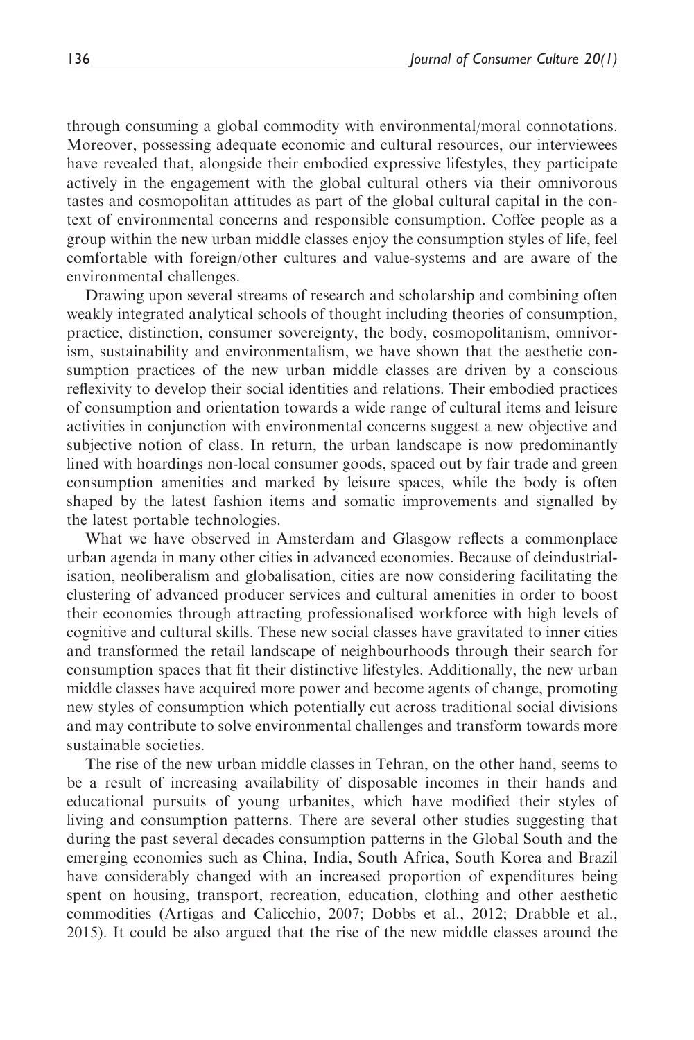through consuming a global commodity with environmental/moral connotations. Moreover, possessing adequate economic and cultural resources, our interviewees have revealed that, alongside their embodied expressive lifestyles, they participate actively in the engagement with the global cultural others via their omnivorous tastes and cosmopolitan attitudes as part of the global cultural capital in the context of environmental concerns and responsible consumption. Coffee people as a group within the new urban middle classes enjoy the consumption styles of life, feel comfortable with foreign/other cultures and value-systems and are aware of the environmental challenges.

Drawing upon several streams of research and scholarship and combining often weakly integrated analytical schools of thought including theories of consumption, practice, distinction, consumer sovereignty, the body, cosmopolitanism, omnivorism, sustainability and environmentalism, we have shown that the aesthetic consumption practices of the new urban middle classes are driven by a conscious reflexivity to develop their social identities and relations. Their embodied practices of consumption and orientation towards a wide range of cultural items and leisure activities in conjunction with environmental concerns suggest a new objective and subjective notion of class. In return, the urban landscape is now predominantly lined with hoardings non-local consumer goods, spaced out by fair trade and green consumption amenities and marked by leisure spaces, while the body is often shaped by the latest fashion items and somatic improvements and signalled by the latest portable technologies.

What we have observed in Amsterdam and Glasgow reflects a commonplace urban agenda in many other cities in advanced economies. Because of deindustrialisation, neoliberalism and globalisation, cities are now considering facilitating the clustering of advanced producer services and cultural amenities in order to boost their economies through attracting professionalised workforce with high levels of cognitive and cultural skills. These new social classes have gravitated to inner cities and transformed the retail landscape of neighbourhoods through their search for consumption spaces that fit their distinctive lifestyles. Additionally, the new urban middle classes have acquired more power and become agents of change, promoting new styles of consumption which potentially cut across traditional social divisions and may contribute to solve environmental challenges and transform towards more sustainable societies.

The rise of the new urban middle classes in Tehran, on the other hand, seems to be a result of increasing availability of disposable incomes in their hands and educational pursuits of young urbanites, which have modified their styles of living and consumption patterns. There are several other studies suggesting that during the past several decades consumption patterns in the Global South and the emerging economies such as China, India, South Africa, South Korea and Brazil have considerably changed with an increased proportion of expenditures being spent on housing, transport, recreation, education, clothing and other aesthetic commodities (Artigas and Calicchio, 2007; Dobbs et al., 2012; Drabble et al., 2015). It could be also argued that the rise of the new middle classes around the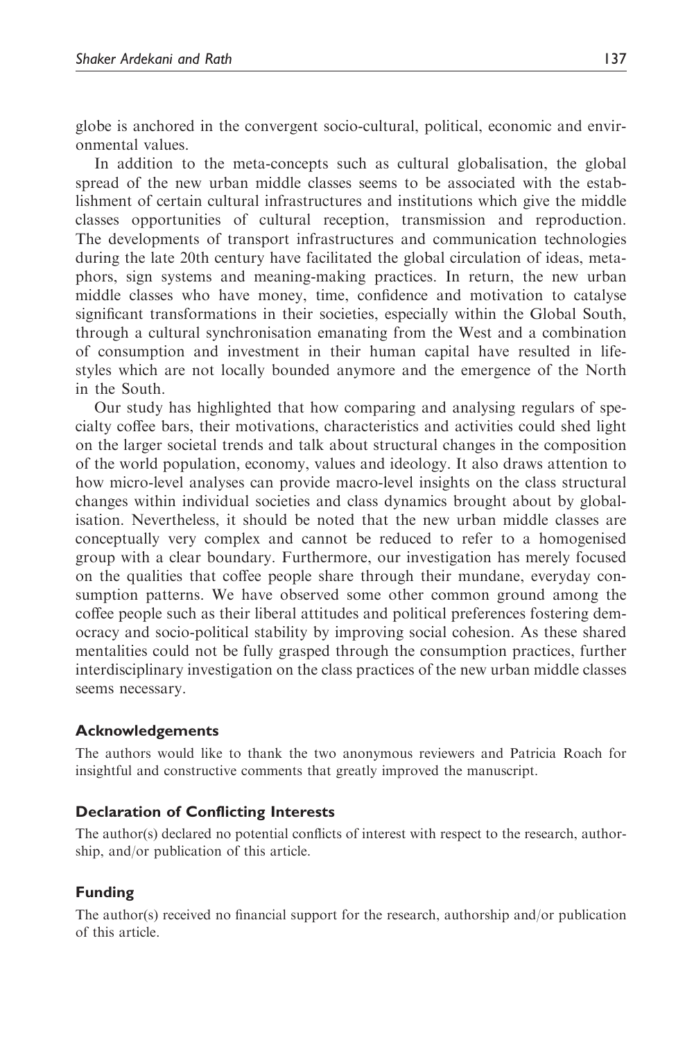globe is anchored in the convergent socio-cultural, political, economic and environmental values.

In addition to the meta-concepts such as cultural globalisation, the global spread of the new urban middle classes seems to be associated with the establishment of certain cultural infrastructures and institutions which give the middle classes opportunities of cultural reception, transmission and reproduction. The developments of transport infrastructures and communication technologies during the late 20th century have facilitated the global circulation of ideas, metaphors, sign systems and meaning-making practices. In return, the new urban middle classes who have money, time, confidence and motivation to catalyse significant transformations in their societies, especially within the Global South, through a cultural synchronisation emanating from the West and a combination of consumption and investment in their human capital have resulted in lifestyles which are not locally bounded anymore and the emergence of the North in the South.

Our study has highlighted that how comparing and analysing regulars of specialty coffee bars, their motivations, characteristics and activities could shed light on the larger societal trends and talk about structural changes in the composition of the world population, economy, values and ideology. It also draws attention to how micro-level analyses can provide macro-level insights on the class structural changes within individual societies and class dynamics brought about by globalisation. Nevertheless, it should be noted that the new urban middle classes are conceptually very complex and cannot be reduced to refer to a homogenised group with a clear boundary. Furthermore, our investigation has merely focused on the qualities that coffee people share through their mundane, everyday consumption patterns. We have observed some other common ground among the coffee people such as their liberal attitudes and political preferences fostering democracy and socio-political stability by improving social cohesion. As these shared mentalities could not be fully grasped through the consumption practices, further interdisciplinary investigation on the class practices of the new urban middle classes seems necessary.

#### Acknowledgements

The authors would like to thank the two anonymous reviewers and Patricia Roach for insightful and constructive comments that greatly improved the manuscript.

#### Declaration of Conflicting Interests

The author(s) declared no potential conflicts of interest with respect to the research, authorship, and/or publication of this article.

#### Funding

The author(s) received no financial support for the research, authorship and/or publication of this article.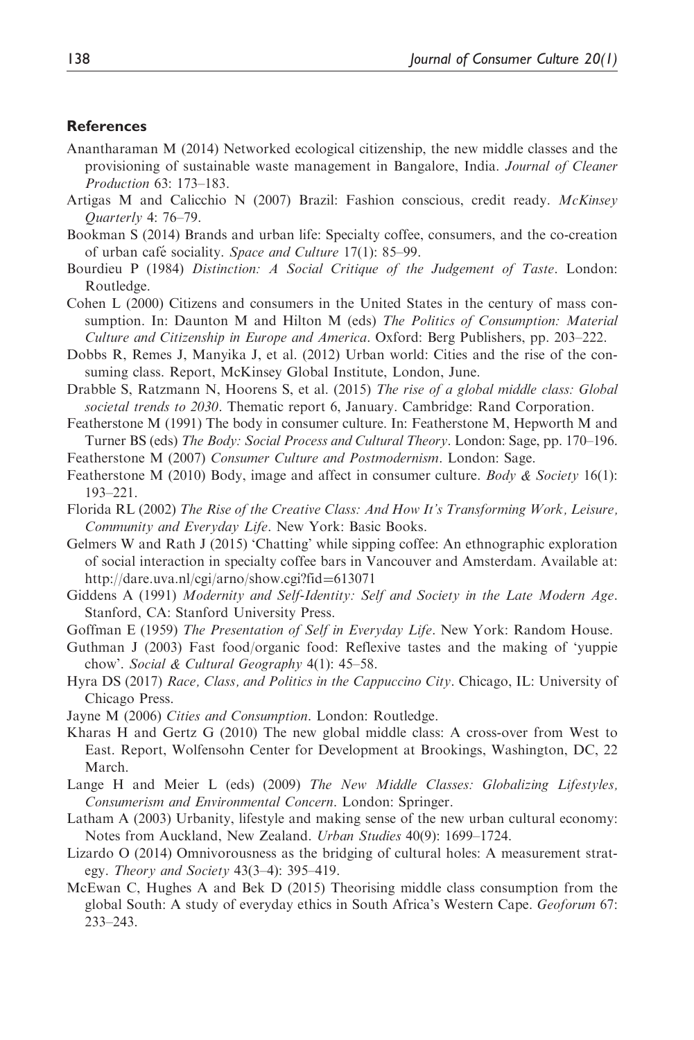#### **References**

- Anantharaman M (2014) Networked ecological citizenship, the new middle classes and the provisioning of sustainable waste management in Bangalore, India. Journal of Cleaner Production 63: 173–183.
- Artigas M and Calicchio N (2007) Brazil: Fashion conscious, credit ready. McKinsey Quarterly 4: 76–79.
- Bookman S (2014) Brands and urban life: Specialty coffee, consumers, and the co-creation of urban café sociality. Space and Culture 17(1): 85–99.
- Bourdieu P (1984) Distinction: A Social Critique of the Judgement of Taste. London: Routledge.
- Cohen L (2000) Citizens and consumers in the United States in the century of mass consumption. In: Daunton M and Hilton M (eds) The Politics of Consumption: Material Culture and Citizenship in Europe and America. Oxford: Berg Publishers, pp. 203–222.
- Dobbs R, Remes J, Manyika J, et al. (2012) Urban world: Cities and the rise of the consuming class. Report, McKinsey Global Institute, London, June.
- Drabble S, Ratzmann N, Hoorens S, et al. (2015) The rise of a global middle class: Global societal trends to 2030. Thematic report 6, January. Cambridge: Rand Corporation.
- Featherstone M (1991) The body in consumer culture. In: Featherstone M, Hepworth M and Turner BS (eds) The Body: Social Process and Cultural Theory. London: Sage, pp. 170–196.
- Featherstone M (2007) Consumer Culture and Postmodernism. London: Sage.
- Featherstone M (2010) Body, image and affect in consumer culture. Body & Society 16(1): 193–221.
- Florida RL (2002) The Rise of the Creative Class: And How It's Transforming Work, Leisure, Community and Everyday Life. New York: Basic Books.
- Gelmers W and Rath J (2015) 'Chatting' while sipping coffee: An ethnographic exploration of social interaction in specialty coffee bars in Vancouver and Amsterdam. Available at: [http://dare.uva.nl/cgi/arno/show.cgi?fid](http://dare.uva.nl/cgi/arno/show.cgi?fid=613071)=[613071](http://dare.uva.nl/cgi/arno/show.cgi?fid=613071)
- Giddens A (1991) Modernity and Self-Identity: Self and Society in the Late Modern Age. Stanford, CA: Stanford University Press.
- Goffman E (1959) The Presentation of Self in Everyday Life. New York: Random House.
- Guthman J (2003) Fast food/organic food: Reflexive tastes and the making of 'yuppie chow'. Social & Cultural Geography 4(1): 45–58.
- Hyra DS (2017) Race, Class, and Politics in the Cappuccino City. Chicago, IL: University of Chicago Press.
- Jayne M (2006) Cities and Consumption. London: Routledge.
- Kharas H and Gertz G (2010) The new global middle class: A cross-over from West to East. Report, Wolfensohn Center for Development at Brookings, Washington, DC, 22 March.
- Lange H and Meier L (eds) (2009) The New Middle Classes: Globalizing Lifestyles, Consumerism and Environmental Concern. London: Springer.
- Latham A (2003) Urbanity, lifestyle and making sense of the new urban cultural economy: Notes from Auckland, New Zealand. Urban Studies 40(9): 1699-1724.
- Lizardo O (2014) Omnivorousness as the bridging of cultural holes: A measurement strategy. Theory and Society 43(3–4): 395–419.
- McEwan C, Hughes A and Bek D (2015) Theorising middle class consumption from the global South: A study of everyday ethics in South Africa's Western Cape. Geoforum 67: 233–243.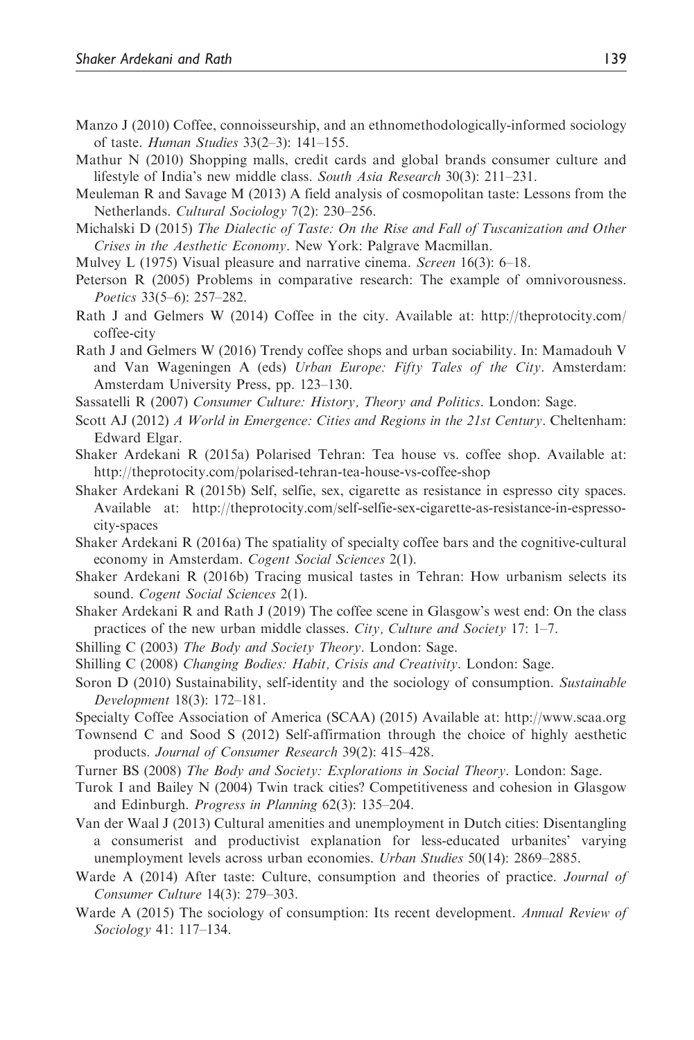- Manzo J (2010) Coffee, connoisseurship, and an ethnomethodologically-informed sociology of taste. Human Studies 33(2–3): 141–155.
- Mathur N (2010) Shopping malls, credit cards and global brands consumer culture and lifestyle of India's new middle class. South Asia Research 30(3): 211–231.
- Meuleman R and Savage M (2013) A field analysis of cosmopolitan taste: Lessons from the Netherlands. Cultural Sociology 7(2): 230–256.
- Michalski D (2015) The Dialectic of Taste: On the Rise and Fall of Tuscanization and Other Crises in the Aesthetic Economy. New York: Palgrave Macmillan.
- Mulvey L (1975) Visual pleasure and narrative cinema. Screen 16(3): 6–18.
- Peterson R (2005) Problems in comparative research: The example of omnivorousness. Poetics 33(5–6): 257–282.
- Rath J and Gelmers W (2014) Coffee in the city. Available at: [http://theprotocity.com/](http://theprotocity.com/coffee-city) [coffee-city](http://theprotocity.com/coffee-city)
- Rath J and Gelmers W (2016) Trendy coffee shops and urban sociability. In: Mamadouh V and Van Wageningen A (eds) Urban Europe: Fifty Tales of the City. Amsterdam: Amsterdam University Press, pp. 123–130.
- Sassatelli R (2007) Consumer Culture: History, Theory and Politics. London: Sage.
- Scott AJ (2012) A World in Emergence: Cities and Regions in the 21st Century. Cheltenham: Edward Elgar.
- Shaker Ardekani R (2015a) Polarised Tehran: Tea house vs. coffee shop. Available at: <http://theprotocity.com/polarised-tehran-tea-house-vs-coffee-shop>
- Shaker Ardekani R (2015b) Self, selfie, sex, cigarette as resistance in espresso city spaces. Available at: [http://theprotocity.com/self-selfie-sex-cigarette-as-resistance-in-espresso](http://theprotocity.com/self-selfie-sex-cigarette-as-resistance-in-espresso-city-spaces)[city-spaces](http://theprotocity.com/self-selfie-sex-cigarette-as-resistance-in-espresso-city-spaces)
- Shaker Ardekani R (2016a) The spatiality of specialty coffee bars and the cognitive-cultural economy in Amsterdam. Cogent Social Sciences 2(1).
- Shaker Ardekani R (2016b) Tracing musical tastes in Tehran: How urbanism selects its sound. Cogent Social Sciences 2(1).
- Shaker Ardekani R and Rath J (2019) The coffee scene in Glasgow's west end: On the class practices of the new urban middle classes. City, Culture and Society 17: 1–7.
- Shilling C (2003) The Body and Society Theory. London: Sage.
- Shilling C (2008) Changing Bodies: Habit, Crisis and Creativity. London: Sage.
- Soron D (2010) Sustainability, self-identity and the sociology of consumption. Sustainable Development 18(3): 172–181.
- Specialty Coffee Association of America (SCAA) (2015) Available at:<http://www.scaa.org>
- Townsend C and Sood S (2012) Self-affirmation through the choice of highly aesthetic products. Journal of Consumer Research 39(2): 415–428.
- Turner BS (2008) The Body and Society: Explorations in Social Theory. London: Sage.
- Turok I and Bailey N (2004) Twin track cities? Competitiveness and cohesion in Glasgow and Edinburgh. Progress in Planning 62(3): 135–204.
- Van der Waal J (2013) Cultural amenities and unemployment in Dutch cities: Disentangling a consumerist and productivist explanation for less-educated urbanites' varying unemployment levels across urban economies. Urban Studies 50(14): 2869–2885.
- Warde A (2014) After taste: Culture, consumption and theories of practice. Journal of Consumer Culture 14(3): 279–303.
- Warde A (2015) The sociology of consumption: Its recent development. Annual Review of Sociology 41: 117–134.